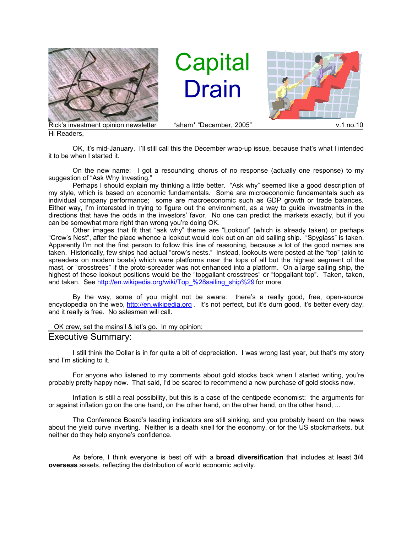

Hi Readers,

**Capital** Drain



OK, it's mid-January. I'll still call this the December wrap-up issue, because that's what I intended it to be when I started it.

On the new name: I got a resounding chorus of no response (actually one response) to my suggestion of "Ask Why Investing."

Perhaps I should explain my thinking a little better. "Ask why" seemed like a good description of my style, which is based on economic fundamentals. Some are microeconomic fundamentals such as individual company performance; some are macroeconomic such as GDP growth or trade balances. Either way, I'm interested in trying to figure out the environment, as a way to guide investments in the directions that have the odds in the investors' favor. No one can predict the markets exactly, but if you can be somewhat more right than wrong you're doing OK.

Other images that fit that "ask why" theme are "Lookout" (which is already taken) or perhaps "Crow's Nest", after the place whence a lookout would look out on an old sailing ship. "Spyglass" is taken. Apparently I'm not the first person to follow this line of reasoning, because a lot of the good names are taken. Historically, few ships had actual "crow's nests." Instead, lookouts were posted at the "top" (akin to spreaders on modern boats) which were platforms near the tops of all but the highest segment of the mast, or "crosstrees" if the proto-spreader was not enhanced into a platform. On a large sailing ship, the highest of these lookout positions would be the "topgallant crosstrees" or "topgallant top". Taken, taken, and taken. See http://en.wikipedia.org/wiki/Top\_%28sailing\_ship%29 for more.

By the way, some of you might not be aware: there's a really good, free, open-source encyclopedia on the web, http://en.wikipedia.org . It's not perfect, but it's durn good, it's better every day, and it really is free. No salesmen will call.

## OK crew, set the mains'l & let's go. In my opinion:

## Executive Summary:

I still think the Dollar is in for quite a bit of depreciation. I was wrong last year, but that's my story and I'm sticking to it.

For anyone who listened to my comments about gold stocks back when I started writing, you're probably pretty happy now. That said, I'd be scared to recommend a new purchase of gold stocks now.

Inflation is still a real possibility, but this is a case of the centipede economist: the arguments for or against inflation go on the one hand, on the other hand, on the other hand, on the other hand, ...

The Conference Board's leading indicators are still sinking, and you probably heard on the news about the yield curve inverting. Neither is a death knell for the economy, or for the US stockmarkets, but neither do they help anyone's confidence.

As before, I think everyone is best off with a **broad diversification** that includes at least **3/4 overseas** assets, reflecting the distribution of world economic activity.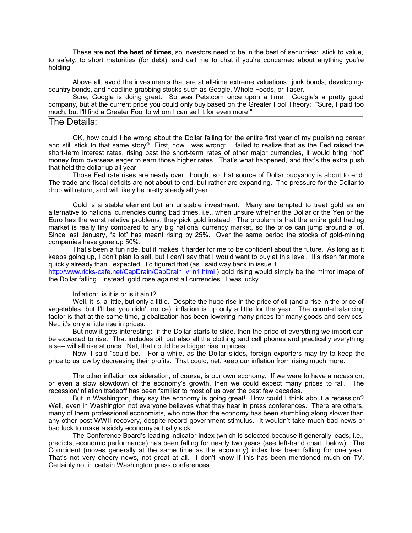These are **not the best of times**, so investors need to be in the best of securities: stick to value, to safety, to short maturities (for debt), and call me to chat if you're concerned about anything you're holding.

Above all, avoid the investments that are at all-time extreme valuations: junk bonds, developingcountry bonds, and headline-grabbing stocks such as Google, Whole Foods, or Taser.

Sure, Google is doing great. So was Pets.com once upon a time. Google's a pretty good company, but at the current price you could only buy based on the Greater Fool Theory: "Sure, I paid too much, but I'll find a Greater Fool to whom I can sell it for even more!"

## The Details:

OK, how could I be wrong about the Dollar falling for the entire first year of my publishing career and still stick to that same story? First, how I was wrong: I failed to realize that as the Fed raised the short-term interest rates, rising past the short-term rates of other major currencies, it would bring "hot" money from overseas eager to earn those higher rates. That's what happened, and that's the extra push that held the dollar up all year.

Those Fed rate rises are nearly over, though, so that source of Dollar buoyancy is about to end. The trade and fiscal deficits are not about to end, but rather are expanding. The pressure for the Dollar to drop will return, and will likely be pretty steady all year.

Gold is a stable element but an unstable investment. Many are tempted to treat gold as an alternative to national currencies during bad times, i.e., when unsure whether the Dollar or the Yen or the Euro has the worst relative problems, they pick gold instead. The problem is that the entire gold trading market is really tiny compared to any big national currency market, so the price can jump around a lot. Since last January, "a lot" has meant rising by 25%. Over the same period the stocks of gold-mining companies have gone up 50%.

That's been a fun ride, but it makes it harder for me to be confident about the future. As long as it keeps going up, I don't plan to sell, but I can't say that I would want to buy at this level. It's risen far more quickly already than I expected. I'd figured that (as I said way back in issue 1,

http://www.ricks-cafe.net/CapDrain/CapDrain\_v1n1.html ) gold rising would simply be the mirror image of the Dollar falling. Instead, gold rose against all currencies. I was lucky.

## Inflation: is it is or is it ain't?

Well, it is, a little, but only a little. Despite the huge rise in the price of oil (and a rise in the price of vegetables, but I'll bet you didn't notice), inflation is up only a little for the year. The counterbalancing factor is that at the same time, globalization has been lowering many prices for many goods and services. Net, it's only a little rise in prices.

But now it gets interesting: if the Dollar starts to slide, then the price of everything we import can be expected to rise. That includes oil, but also all the clothing and cell phones and practically everything else-- will all rise at once. Net, that could be a bigger rise in prices.

Now, I said "could be." For a while, as the Dollar slides, foreign exporters may try to keep the price to us low by decreasing their profits. That could, net, keep our inflation from rising much more.

The other inflation consideration, of course, is our own economy. If we were to have a recession, or even a slow slowdown of the economy's growth, then we could expect many prices to fall. The recession/inflation tradeoff has been familiar to most of us over the past few decades.

But in Washington, they say the economy is going great! How could I think about a recession? Well, even in Washington not everyone believes what they hear in press conferences. There are others, many of them professional economists, who note that the economy has been stumbling along slower than any other post-WWII recovery, despite record government stimulus. It wouldn't take much bad news or bad luck to make a sickly economy actually sick.

The Conference Board's leading indicator index (which is selected because it generally leads, i.e., predicts, economic performance) has been falling for nearly two years (see left-hand chart, below). The Coincident (moves generally at the same time as the economy) index has been falling for one year. That's not very cheery news, not great at all. I don't know if this has been mentioned much on TV. Certainly not in certain Washington press conferences.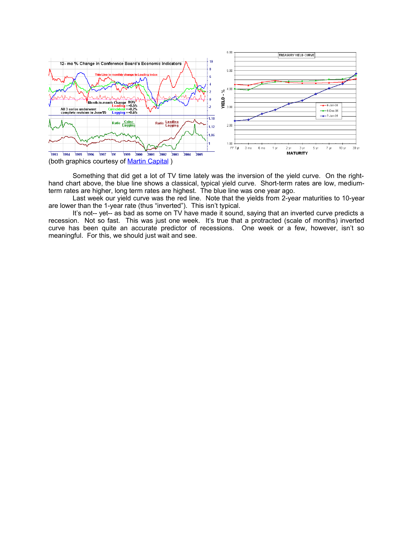

Something that did get a lot of TV time lately was the inversion of the yield curve. On the righthand chart above, the blue line shows a classical, typical yield curve. Short-term rates are low, mediumterm rates are higher, long term rates are highest. The blue line was one year ago.

Last week our yield curve was the red line. Note that the yields from 2-year maturities to 10-year are lower than the 1-year rate (thus "inverted"). This isn't typical.

It's not-- yet-- as bad as some on TV have made it sound, saying that an inverted curve predicts a recession. Not so fast. This was just one week. It's true that a protracted (scale of months) inverted curve has been quite an accurate predictor of recessions. One week or a few, however, isn't so meaningful. For this, we should just wait and see.